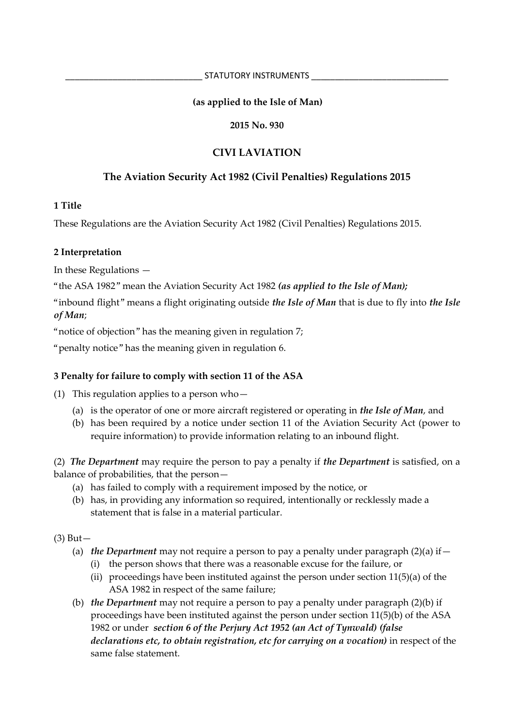### **(as applied to the Isle of Man)**

### **2015 No. 930**

# **CIVI LAVIATION**

# **The Aviation Security Act 1982 (Civil Penalties) Regulations 2015**

### **1 Title**

These Regulations are the Aviation Security Act 1982 (Civil Penalties) Regulations 2015.

### **2 Interpretation**

In these Regulations —

"the ASA 1982" mean the Aviation Security Act 1982 *(as applied to the Isle of Man);*

"inbound flight" means a flight originating outside *the Isle of Man* that is due to fly into *the Isle of Man*;

"notice of objection" has the meaning given in regulation 7;

"penalty notice" has the meaning given in regulation 6.

## **3 Penalty for failure to comply with section 11 of the ASA**

(1) This regulation applies to a person who—

- (a) is the operator of one or more aircraft registered or operating in *the Isle of Man*, and
- (b) has been required by a notice under section 11 of the Aviation Security Act (power to require information) to provide information relating to an inbound flight.

(2) *The Department* may require the person to pay a penalty if *the Department* is satisfied, on a balance of probabilities, that the person—

- (a) has failed to comply with a requirement imposed by the notice, or
- (b) has, in providing any information so required, intentionally or recklessly made a statement that is false in a material particular.

(3) But—

- (a) *the Department* may not require a person to pay a penalty under paragraph (2)(a) if—
	- (i) the person shows that there was a reasonable excuse for the failure, or
	- (ii) proceedings have been instituted against the person under section 11(5)(a) of the ASA 1982 in respect of the same failure;
- (b) *the Department* may not require a person to pay a penalty under paragraph (2)(b) if proceedings have been instituted against the person under section 11(5)(b) of the ASA 1982 or under *section 6 of the Perjury Act 1952 (an Act of Tynwald) (false declarations etc, to obtain registration, etc for carrying on a vocation)* in respect of the same false statement.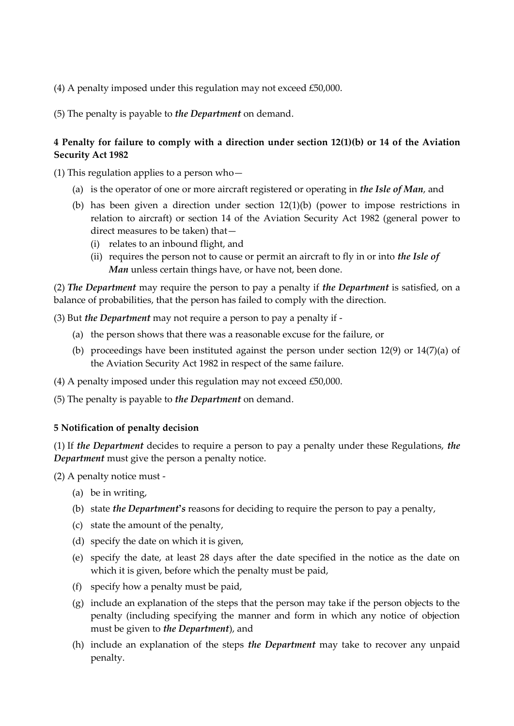- (4) A penalty imposed under this regulation may not exceed £50,000.
- (5) The penalty is payable to *the Department* on demand.

### **4 Penalty for failure to comply with a direction under section 12(1)(b) or 14 of the Aviation Security Act 1982**

(1) This regulation applies to a person who—

- (a) is the operator of one or more aircraft registered or operating in *the Isle of Man*, and
- (b) has been given a direction under section 12(1)(b) (power to impose restrictions in relation to aircraft) or section 14 of the Aviation Security Act 1982 (general power to direct measures to be taken) that—
	- (i) relates to an inbound flight, and
	- (ii) requires the person not to cause or permit an aircraft to fly in or into *the Isle of Man* unless certain things have, or have not, been done.

(2) *The Department* may require the person to pay a penalty if *the Department* is satisfied, on a balance of probabilities, that the person has failed to comply with the direction.

(3) But *the Department* may not require a person to pay a penalty if -

- (a) the person shows that there was a reasonable excuse for the failure, or
- (b) proceedings have been instituted against the person under section 12(9) or 14(7)(a) of the Aviation Security Act 1982 in respect of the same failure.
- (4) A penalty imposed under this regulation may not exceed £50,000.

(5) The penalty is payable to *the Department* on demand.

### **5 Notification of penalty decision**

(1) If *the Department* decides to require a person to pay a penalty under these Regulations, *the Department* must give the person a penalty notice.

(2) A penalty notice must -

- (a) be in writing,
- (b) state *the Department's* reasons for deciding to require the person to pay a penalty,
- (c) state the amount of the penalty,
- (d) specify the date on which it is given,
- (e) specify the date, at least 28 days after the date specified in the notice as the date on which it is given, before which the penalty must be paid,
- (f) specify how a penalty must be paid,
- (g) include an explanation of the steps that the person may take if the person objects to the penalty (including specifying the manner and form in which any notice of objection must be given to *the Department*), and
- (h) include an explanation of the steps *the Department* may take to recover any unpaid penalty.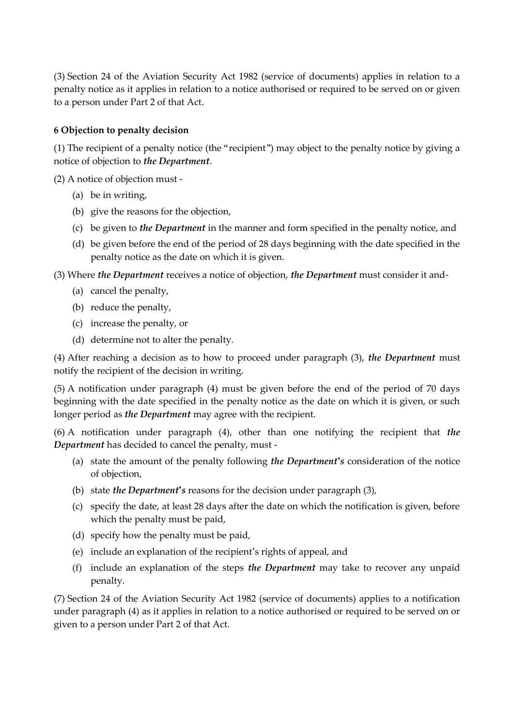(3) Section 24 of the Aviation Security Act 1982 (service of documents) applies in relation to a penalty notice as it applies in relation to a notice authorised or required to be served on or given to a person under Part 2 of that Act.

#### **6 Objection to penalty decision**

(1) The recipient of a penalty notice (the "recipient") may object to the penalty notice by giving a notice of objection to *the Department*.

(2) A notice of objection must -

- (a) be in writing,
- (b) give the reasons for the objection,
- (c) be given to *the Department* in the manner and form specified in the penalty notice, and
- (d) be given before the end of the period of 28 days beginning with the date specified in the penalty notice as the date on which it is given.

(3) Where *the Department* receives a notice of objection, *the Department* must consider it and-

- (a) cancel the penalty,
- (b) reduce the penalty,
- (c) increase the penalty, or
- (d) determine not to alter the penalty.

(4) After reaching a decision as to how to proceed under paragraph (3), *the Department* must notify the recipient of the decision in writing.

(5) A notification under paragraph (4) must be given before the end of the period of 70 days beginning with the date specified in the penalty notice as the date on which it is given, or such longer period as *the Department* may agree with the recipient.

(6) A notification under paragraph (4), other than one notifying the recipient that *the Department* has decided to cancel the penalty, must -

- (a) state the amount of the penalty following *the Department's* consideration of the notice of objection,
- (b) state *the Department's* reasons for the decision under paragraph (3),
- (c) specify the date, at least 28 days after the date on which the notification is given, before which the penalty must be paid,
- (d) specify how the penalty must be paid,
- (e) include an explanation of the recipient's rights of appeal, and
- (f) include an explanation of the steps *the Department* may take to recover any unpaid penalty.

(7) Section 24 of the Aviation Security Act 1982 (service of documents) applies to a notification under paragraph (4) as it applies in relation to a notice authorised or required to be served on or given to a person under Part 2 of that Act.